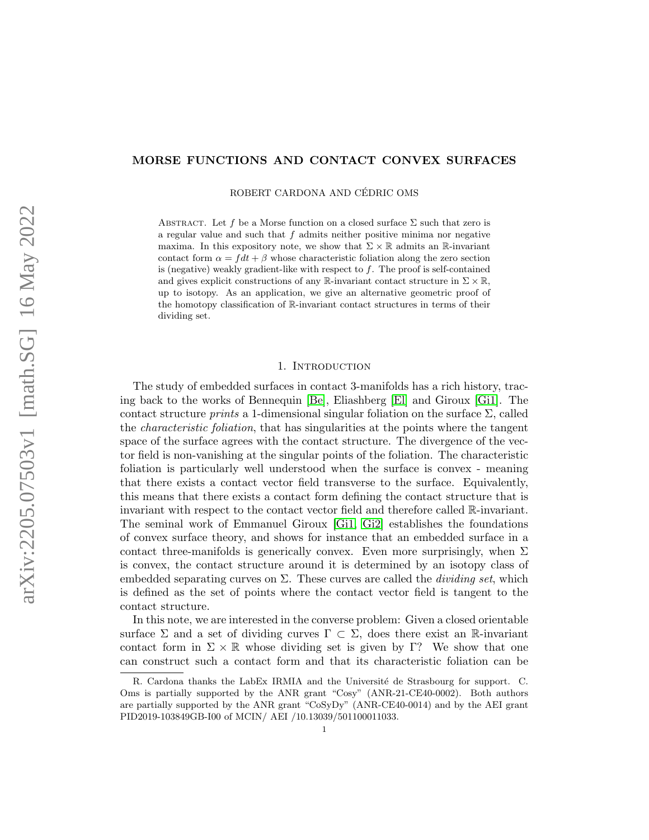# MORSE FUNCTIONS AND CONTACT CONVEX SURFACES

ROBERT CARDONA AND CÉDRIC OMS

ABSTRACT. Let f be a Morse function on a closed surface  $\Sigma$  such that zero is a regular value and such that  $f$  admits neither positive minima nor negative maxima. In this expository note, we show that  $\Sigma \times \mathbb{R}$  admits an R-invariant contact form  $\alpha = f dt + \beta$  whose characteristic foliation along the zero section is (negative) weakly gradient-like with respect to  $f$ . The proof is self-contained and gives explicit constructions of any R-invariant contact structure in  $\Sigma \times \mathbb{R}$ , up to isotopy. As an application, we give an alternative geometric proof of the homotopy classification of R-invariant contact structures in terms of their dividing set.

### 1. Introduction

The study of embedded surfaces in contact 3-manifolds has a rich history, tracing back to the works of Bennequin [\[Be\]](#page-13-0), Eliashberg [\[El\]](#page-13-1) and Giroux [\[Gi1\]](#page-14-0). The contact structure *prints* a 1-dimensional singular foliation on the surface  $\Sigma$ , called the characteristic foliation, that has singularities at the points where the tangent space of the surface agrees with the contact structure. The divergence of the vector field is non-vanishing at the singular points of the foliation. The characteristic foliation is particularly well understood when the surface is convex - meaning that there exists a contact vector field transverse to the surface. Equivalently, this means that there exists a contact form defining the contact structure that is invariant with respect to the contact vector field and therefore called R-invariant. The seminal work of Emmanuel Giroux [\[Gi1,](#page-14-0) [Gi2\]](#page-14-1) establishes the foundations of convex surface theory, and shows for instance that an embedded surface in a contact three-manifolds is generically convex. Even more surprisingly, when  $\Sigma$ is convex, the contact structure around it is determined by an isotopy class of embedded separating curves on  $\Sigma$ . These curves are called the *dividing set*, which is defined as the set of points where the contact vector field is tangent to the contact structure.

In this note, we are interested in the converse problem: Given a closed orientable surface  $\Sigma$  and a set of dividing curves  $\Gamma \subset \Sigma$ , does there exist an R-invariant contact form in  $\Sigma \times \mathbb{R}$  whose dividing set is given by Γ? We show that one can construct such a contact form and that its characteristic foliation can be

R. Cardona thanks the LabEx IRMIA and the Université de Strasbourg for support. C. Oms is partially supported by the ANR grant "Cosy" (ANR-21-CE40-0002). Both authors are partially supported by the ANR grant "CoSyDy" (ANR-CE40-0014) and by the AEI grant PID2019-103849GB-I00 of MCIN/ AEI /10.13039/501100011033.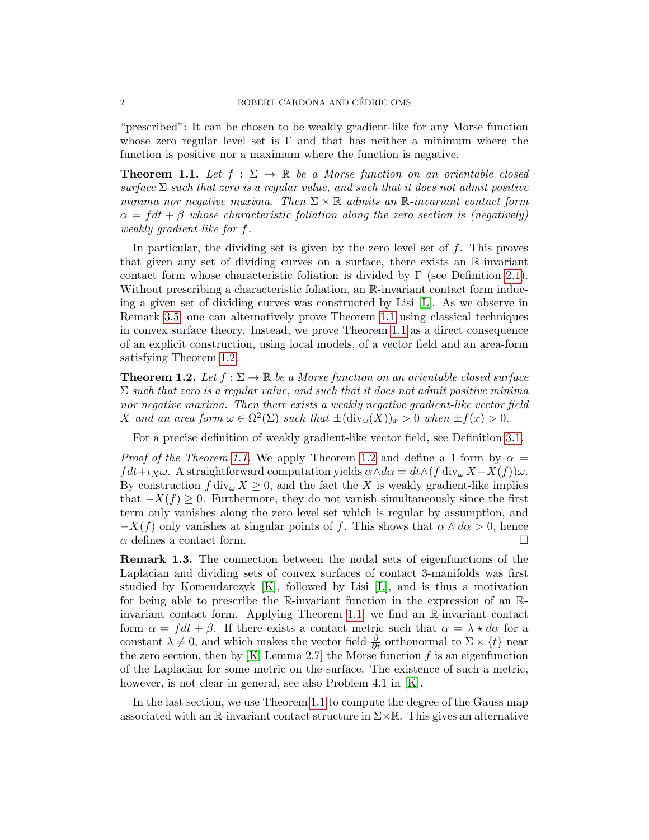"prescribed": It can be chosen to be weakly gradient-like for any Morse function whose zero regular level set is  $\Gamma$  and that has neither a minimum where the function is positive nor a maximum where the function is negative.

<span id="page-1-0"></span>**Theorem 1.1.** Let  $f : \Sigma \to \mathbb{R}$  be a Morse function on an orientable closed surface  $\Sigma$  such that zero is a regular value, and such that it does not admit positive minima nor negative maxima. Then  $\Sigma \times \mathbb{R}$  admits an  $\mathbb{R}$ -invariant contact form  $\alpha = f dt + \beta$  whose characteristic foliation along the zero section is (negatively) weakly gradient-like for f.

In particular, the dividing set is given by the zero level set of  $f$ . This proves that given any set of dividing curves on a surface, there exists an R-invariant contact form whose characteristic foliation is divided by  $\Gamma$  (see Definition [2.1\)](#page-3-0). Without prescribing a characteristic foliation, an  $\mathbb{R}$ -invariant contact form inducing a given set of dividing curves was constructed by Lisi [\[L\]](#page-14-2). As we observe in Remark [3.5,](#page-10-0) one can alternatively prove Theorem [1.1](#page-1-0) using classical techniques in convex surface theory. Instead, we prove Theorem [1.1](#page-1-0) as a direct consequence of an explicit construction, using local models, of a vector field and an area-form satisfying Theorem [1.2.](#page-1-1)

<span id="page-1-1"></span>**Theorem 1.2.** Let  $f : \Sigma \to \mathbb{R}$  be a Morse function on an orientable closed surface  $\Sigma$  such that zero is a regular value, and such that it does not admit positive minima nor negative maxima. Then there exists a weakly negative gradient-like vector field X and an area form  $\omega \in \Omega^2(\Sigma)$  such that  $\pm(\text{div}_{\omega}(X))_x > 0$  when  $\pm f(x) > 0$ .

For a precise definition of weakly gradient-like vector field, see Definition [3.1.](#page-3-1)

*Proof of the Theorem [1.1.](#page-1-0)* We apply Theorem [1.2](#page-1-1) and define a 1-form by  $\alpha =$  $fdt+t_X\omega$ . A straightforward computation yields  $\alpha \wedge d\alpha = dt \wedge (f \operatorname{div}_{\omega} X - X(f))\omega$ . By construction  $f \, \text{div}_{\omega} X \geq 0$ , and the fact the X is weakly gradient-like implies that  $-X(f) \geq 0$ . Furthermore, they do not vanish simultaneously since the first term only vanishes along the zero level set which is regular by assumption, and  $-X(f)$  only vanishes at singular points of f. This shows that  $\alpha \wedge d\alpha > 0$ , hence  $\alpha$  defines a contact form.

Remark 1.3. The connection between the nodal sets of eigenfunctions of the Laplacian and dividing sets of convex surfaces of contact 3-manifolds was first studied by Komendarczyk [\[K\]](#page-14-3), followed by Lisi [\[L\]](#page-14-2), and is thus a motivation for being able to prescribe the R-invariant function in the expression of an Rinvariant contact form. Applying Theorem [1.1,](#page-1-0) we find an R-invariant contact form  $\alpha = f dt + \beta$ . If there exists a contact metric such that  $\alpha = \lambda * d\alpha$  for a constant  $\lambda \neq 0$ , and which makes the vector field  $\frac{\partial}{\partial t}$  orthonormal to  $\Sigma \times \{t\}$  near the zero section, then by  $[K, Lemma 2.7]$  the Morse function f is an eigenfunction of the Laplacian for some metric on the surface. The existence of such a metric, however, is not clear in general, see also Problem 4.1 in [\[K\]](#page-14-3).

In the last section, we use Theorem [1.1](#page-1-0) to compute the degree of the Gauss map associated with an R-invariant contact structure in  $\Sigma \times \mathbb{R}$ . This gives an alternative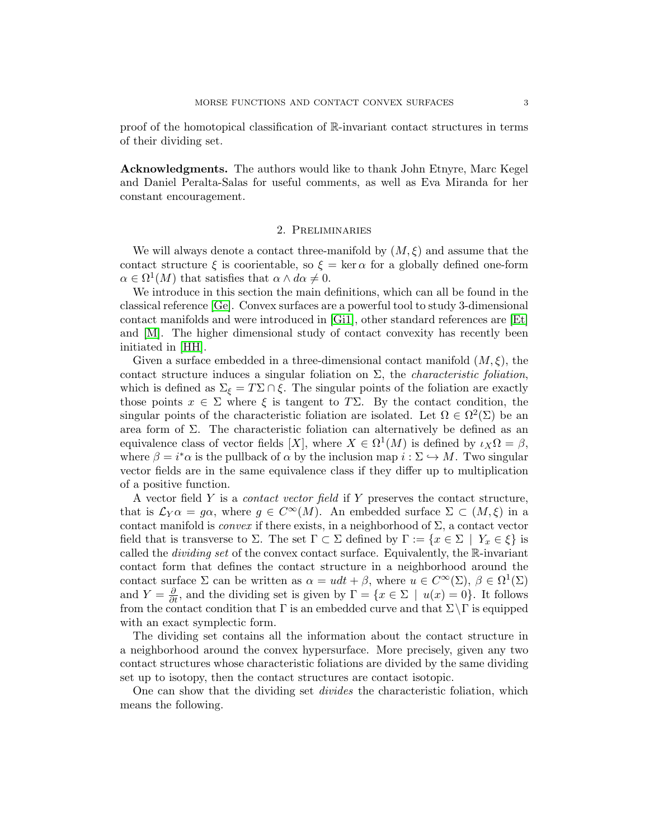proof of the homotopical classification of R-invariant contact structures in terms of their dividing set.

Acknowledgments. The authors would like to thank John Etnyre, Marc Kegel and Daniel Peralta-Salas for useful comments, as well as Eva Miranda for her constant encouragement.

### 2. Preliminaries

We will always denote a contact three-manifold by  $(M, \xi)$  and assume that the contact structure  $\xi$  is coorientable, so  $\xi = \ker \alpha$  for a globally defined one-form  $\alpha \in \Omega^1(M)$  that satisfies that  $\alpha \wedge d\alpha \neq 0$ .

We introduce in this section the main definitions, which can all be found in the classical reference [\[Ge\]](#page-14-4). Convex surfaces are a powerful tool to study 3-dimensional contact manifolds and were introduced in [\[Gi1\]](#page-14-0), other standard references are [\[Et\]](#page-14-5) and [\[M\]](#page-14-6). The higher dimensional study of contact convexity has recently been initiated in [\[HH\]](#page-14-7).

Given a surface embedded in a three-dimensional contact manifold  $(M, \xi)$ , the contact structure induces a singular foliation on  $\Sigma$ , the *characteristic foliation*, which is defined as  $\Sigma_{\xi} = T\Sigma \cap \xi$ . The singular points of the foliation are exactly those points  $x \in \Sigma$  where  $\xi$  is tangent to T $\Sigma$ . By the contact condition, the singular points of the characteristic foliation are isolated. Let  $\Omega \in \Omega^2(\Sigma)$  be an area form of  $\Sigma$ . The characteristic foliation can alternatively be defined as an equivalence class of vector fields [X], where  $X \in \Omega^1(M)$  is defined by  $\iota_X \Omega = \beta$ , where  $\beta = i^* \alpha$  is the pullback of  $\alpha$  by the inclusion map  $i : \Sigma \hookrightarrow M$ . Two singular vector fields are in the same equivalence class if they differ up to multiplication of a positive function.

A vector field Y is a contact vector field if Y preserves the contact structure, that is  $\mathcal{L}_Y \alpha = g\alpha$ , where  $g \in C^{\infty}(M)$ . An embedded surface  $\Sigma \subset (M,\xi)$  in a contact manifold is *convex* if there exists, in a neighborhood of  $\Sigma$ , a contact vector field that is transverse to  $\Sigma$ . The set  $\Gamma \subset \Sigma$  defined by  $\Gamma := \{x \in \Sigma \mid Y_x \in \xi\}$  is called the dividing set of the convex contact surface. Equivalently, the R-invariant contact form that defines the contact structure in a neighborhood around the contact surface  $\Sigma$  can be written as  $\alpha = u dt + \beta$ , where  $u \in C^{\infty}(\Sigma)$ ,  $\beta \in \Omega^{1}(\Sigma)$ and  $Y = \frac{\partial}{\partial t}$ , and the dividing set is given by  $\Gamma = \{x \in \Sigma \mid u(x) = 0\}$ . It follows from the contact condition that  $\Gamma$  is an embedded curve and that  $\Sigma \backslash \Gamma$  is equipped with an exact symplectic form.

The dividing set contains all the information about the contact structure in a neighborhood around the convex hypersurface. More precisely, given any two contact structures whose characteristic foliations are divided by the same dividing set up to isotopy, then the contact structures are contact isotopic.

One can show that the dividing set divides the characteristic foliation, which means the following.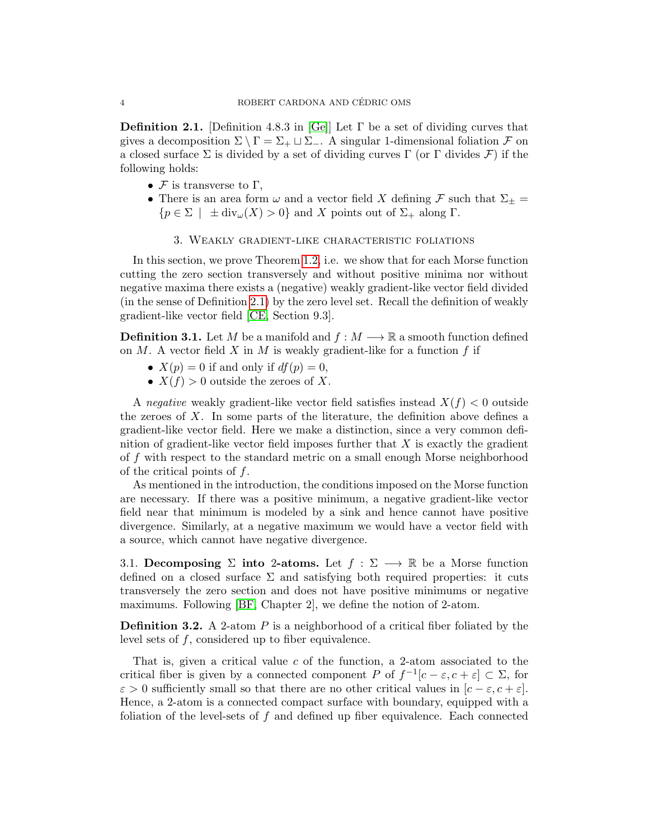<span id="page-3-0"></span>**Definition 2.1.** [Definition 4.8.3 in [\[Ge\]](#page-14-4)] Let  $\Gamma$  be a set of dividing curves that gives a decomposition  $\Sigma \setminus \Gamma = \Sigma_+ \sqcup \Sigma_-$ . A singular 1-dimensional foliation  $\mathcal F$  on a closed surface  $\Sigma$  is divided by a set of dividing curves  $\Gamma$  (or  $\Gamma$  divides  $\mathcal F$ ) if the following holds:

- $\mathcal F$  is transverse to  $\Gamma$ ,
- There is an area form  $\omega$  and a vector field X defining F such that  $\Sigma_{\pm}$  =  ${p \in \Sigma \mid \pm div_{\omega}(X) > 0}$  and X points out of  $\Sigma_{+}$  along  $\Gamma$ .
	- 3. Weakly gradient-like characteristic foliations

In this section, we prove Theorem [1.2,](#page-1-1) i.e. we show that for each Morse function cutting the zero section transversely and without positive minima nor without negative maxima there exists a (negative) weakly gradient-like vector field divided (in the sense of Definition [2.1\)](#page-3-0) by the zero level set. Recall the definition of weakly gradient-like vector field [\[CE,](#page-13-2) Section 9.3].

<span id="page-3-1"></span>**Definition 3.1.** Let M be a manifold and  $f : M \longrightarrow \mathbb{R}$  a smooth function defined on  $M$ . A vector field  $X$  in  $M$  is weakly gradient-like for a function  $f$  if

- $X(p) = 0$  if and only if  $df(p) = 0$ ,
- $X(f) > 0$  outside the zeroes of X.

A negative weakly gradient-like vector field satisfies instead  $X(f) < 0$  outside the zeroes of X. In some parts of the literature, the definition above defines a gradient-like vector field. Here we make a distinction, since a very common definition of gradient-like vector field imposes further that  $X$  is exactly the gradient of f with respect to the standard metric on a small enough Morse neighborhood of the critical points of  $f$ .

As mentioned in the introduction, the conditions imposed on the Morse function are necessary. If there was a positive minimum, a negative gradient-like vector field near that minimum is modeled by a sink and hence cannot have positive divergence. Similarly, at a negative maximum we would have a vector field with a source, which cannot have negative divergence.

3.1. Decomposing  $\Sigma$  into 2-atoms. Let  $f : \Sigma \longrightarrow \mathbb{R}$  be a Morse function defined on a closed surface  $\Sigma$  and satisfying both required properties: it cuts transversely the zero section and does not have positive minimums or negative maximums. Following [\[BF,](#page-13-3) Chapter 2], we define the notion of 2-atom.

**Definition 3.2.** A 2-atom  $P$  is a neighborhood of a critical fiber foliated by the level sets of  $f$ , considered up to fiber equivalence.

That is, given a critical value  $c$  of the function, a 2-atom associated to the critical fiber is given by a connected component P of  $f^{-1}[c-\varepsilon,c+\varepsilon] \subset \Sigma$ , for  $\varepsilon > 0$  sufficiently small so that there are no other critical values in  $[c - \varepsilon, c + \varepsilon]$ . Hence, a 2-atom is a connected compact surface with boundary, equipped with a foliation of the level-sets of f and defined up fiber equivalence. Each connected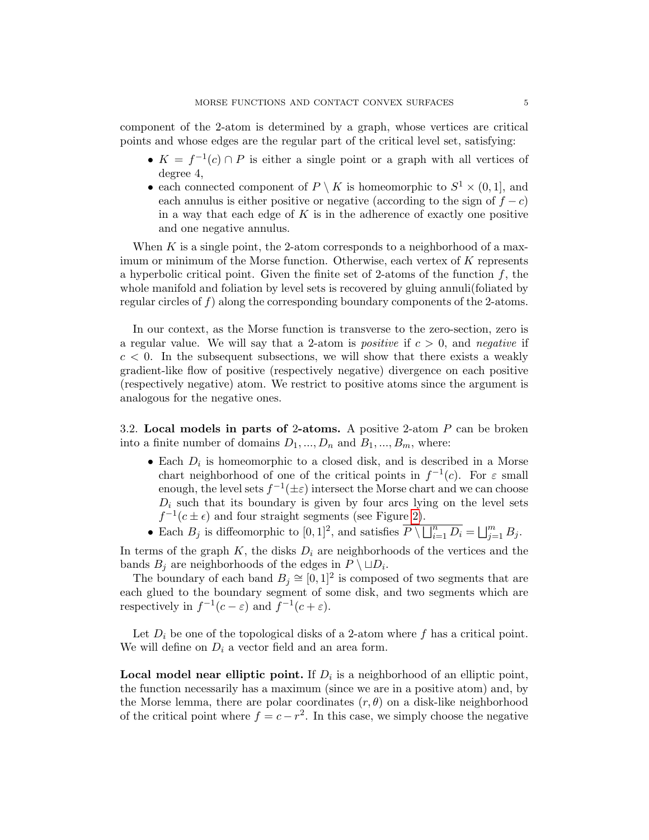component of the 2-atom is determined by a graph, whose vertices are critical points and whose edges are the regular part of the critical level set, satisfying:

- $K = f^{-1}(c) \cap P$  is either a single point or a graph with all vertices of degree 4,
- each connected component of  $P \setminus K$  is homeomorphic to  $S^1 \times (0,1]$ , and each annulus is either positive or negative (according to the sign of  $f - c$ ) in a way that each edge of  $K$  is in the adherence of exactly one positive and one negative annulus.

When  $K$  is a single point, the 2-atom corresponds to a neighborhood of a maximum or minimum of the Morse function. Otherwise, each vertex of  $K$  represents a hyperbolic critical point. Given the finite set of 2-atoms of the function  $f$ , the whole manifold and foliation by level sets is recovered by gluing annuli(foliated by regular circles of  $f$ ) along the corresponding boundary components of the 2-atoms.

In our context, as the Morse function is transverse to the zero-section, zero is a regular value. We will say that a 2-atom is *positive* if  $c > 0$ , and *negative* if  $c < 0$ . In the subsequent subsections, we will show that there exists a weakly gradient-like flow of positive (respectively negative) divergence on each positive (respectively negative) atom. We restrict to positive atoms since the argument is analogous for the negative ones.

3.2. Local models in parts of 2-atoms. A positive 2-atom P can be broken into a finite number of domains  $D_1, ..., D_n$  and  $B_1, ..., B_m$ , where:

- Each  $D_i$  is homeomorphic to a closed disk, and is described in a Morse chart neighborhood of one of the critical points in  $f^{-1}(c)$ . For  $\varepsilon$  small enough, the level sets  $f^{-1}(\pm \varepsilon)$  intersect the Morse chart and we can choose  $D_i$  such that its boundary is given by four arcs lying on the level sets  $f^{-1}(c \pm \epsilon)$  and four straight segments (see Figure [2\)](#page-6-0).
- Each  $B_j$  is diffeomorphic to  $[0,1]^2$ , and satisfies  $\overline{P \setminus \bigcup_{i=1}^n D_i} = \bigcup_{j=1}^m B_j$ .

In terms of the graph  $K$ , the disks  $D_i$  are neighborhoods of the vertices and the bands  $B_j$  are neighborhoods of the edges in  $P \setminus \Box D_i$ .

The boundary of each band  $B_j \cong [0, 1]^2$  is composed of two segments that are each glued to the boundary segment of some disk, and two segments which are respectively in  $f^{-1}(c-\varepsilon)$  and  $f^{-1}(c+\varepsilon)$ .

Let  $D_i$  be one of the topological disks of a 2-atom where f has a critical point. We will define on  $D_i$  a vector field and an area form.

**Local model near elliptic point.** If  $D_i$  is a neighborhood of an elliptic point, the function necessarily has a maximum (since we are in a positive atom) and, by the Morse lemma, there are polar coordinates  $(r, \theta)$  on a disk-like neighborhood of the critical point where  $f = c - r^2$ . In this case, we simply choose the negative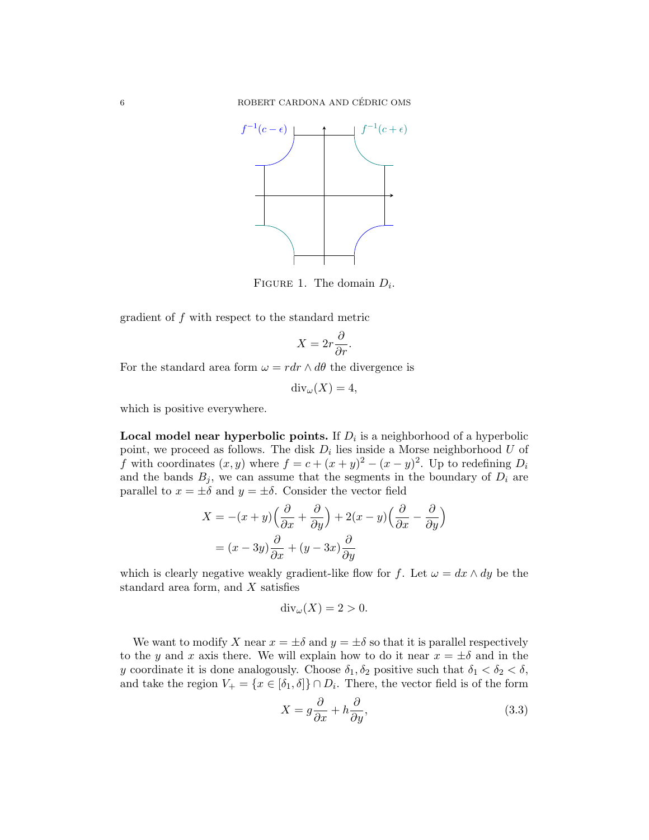

FIGURE 1. The domain  $D_i$ .

gradient of f with respect to the standard metric

$$
X = 2r \frac{\partial}{\partial r}.
$$

For the standard area form  $\omega = r dr \wedge d\theta$  the divergence is

$$
\operatorname{div}_{\omega}(X) = 4,
$$

which is positive everywhere.

Local model near hyperbolic points. If  $D_i$  is a neighborhood of a hyperbolic point, we proceed as follows. The disk  $D_i$  lies inside a Morse neighborhood U of f with coordinates  $(x, y)$  where  $f = c + (x + y)^2 - (x - y)^2$ . Up to redefining  $D_i$ and the bands  $B_j$ , we can assume that the segments in the boundary of  $D_i$  are parallel to  $x = \pm \delta$  and  $y = \pm \delta$ . Consider the vector field

$$
X = -(x+y)\left(\frac{\partial}{\partial x} + \frac{\partial}{\partial y}\right) + 2(x-y)\left(\frac{\partial}{\partial x} - \frac{\partial}{\partial y}\right)
$$

$$
= (x-3y)\frac{\partial}{\partial x} + (y-3x)\frac{\partial}{\partial y}
$$

which is clearly negative weakly gradient-like flow for f. Let  $\omega = dx \wedge dy$  be the standard area form, and X satisfies

$$
\operatorname{div}_{\omega}(X) = 2 > 0.
$$

We want to modify X near  $x = \pm \delta$  and  $y = \pm \delta$  so that it is parallel respectively to the y and x axis there. We will explain how to do it near  $x = \pm \delta$  and in the y coordinate it is done analogously. Choose  $\delta_1, \delta_2$  positive such that  $\delta_1 < \delta_2 < \delta$ , and take the region  $V_+ = \{x \in [\delta_1, \delta]\} \cap D_i$ . There, the vector field is of the form

<span id="page-5-0"></span>
$$
X = g\frac{\partial}{\partial x} + h\frac{\partial}{\partial y},\tag{3.3}
$$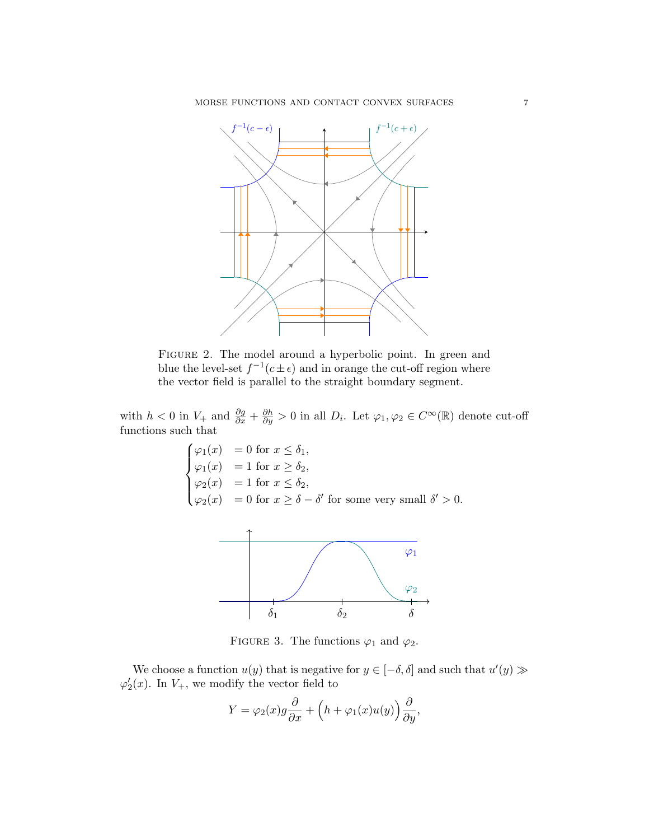<span id="page-6-0"></span>

FIGURE 2. The model around a hyperbolic point. In green and blue the level-set  $f^{-1}(c \pm \epsilon)$  and in orange the cut-off region where the vector field is parallel to the straight boundary segment.

with  $h < 0$  in  $V_+$  and  $\frac{\partial g}{\partial x} + \frac{\partial h}{\partial y} > 0$  in all  $D_i$ . Let  $\varphi_1, \varphi_2 \in C^\infty(\mathbb{R})$  denote cut-off functions such that

$$
\begin{cases}\n\varphi_1(x) &= 0 \text{ for } x \le \delta_1, \\
\varphi_1(x) &= 1 \text{ for } x \ge \delta_2, \\
\varphi_2(x) &= 1 \text{ for } x \le \delta_2, \\
\varphi_2(x) &= 0 \text{ for } x \ge \delta - \delta' \text{ for some very small } \delta' > 0.\n\end{cases}
$$



FIGURE 3. The functions  $\varphi_1$  and  $\varphi_2$ .

We choose a function  $u(y)$  that is negative for  $y \in [-\delta, \delta]$  and such that  $u'(y) \gg$  $\varphi_2'(x)$ . In  $V_+$ , we modify the vector field to

$$
Y = \varphi_2(x)g\frac{\partial}{\partial x} + \left(h + \varphi_1(x)u(y)\right)\frac{\partial}{\partial y},
$$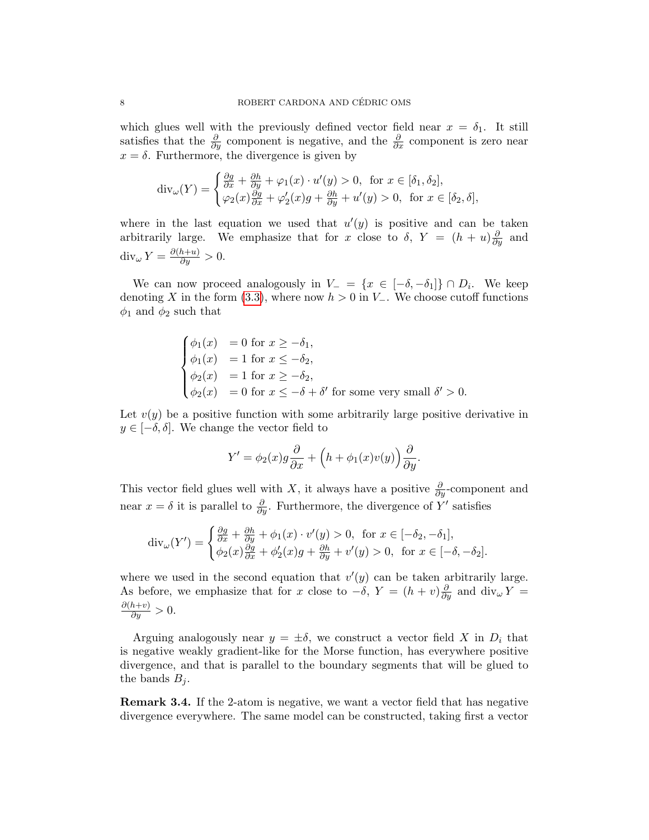which glues well with the previously defined vector field near  $x = \delta_1$ . It still satisfies that the  $\frac{\partial}{\partial y}$  component is negative, and the  $\frac{\partial}{\partial x}$  component is zero near  $x = \delta$ . Furthermore, the divergence is given by

$$
\operatorname{div}_{\omega}(Y) = \begin{cases} \frac{\partial g}{\partial x} + \frac{\partial h}{\partial y} + \varphi_1(x) \cdot u'(y) > 0, & \text{for } x \in [\delta_1, \delta_2], \\ \varphi_2(x) \frac{\partial g}{\partial x} + \varphi_2'(x)g + \frac{\partial h}{\partial y} + u'(y) > 0, & \text{for } x \in [\delta_2, \delta], \end{cases}
$$

where in the last equation we used that  $u'(y)$  is positive and can be taken arbitrarily large. We emphasize that for x close to  $\delta$ ,  $Y = (h + u)\frac{\partial}{\partial y}$  and  $\operatorname{div}_{\omega} Y = \frac{\partial (h+u)}{\partial y} > 0.$ 

We can now proceed analogously in  $V = \{x \in [-\delta, -\delta_1]\} \cap D_i$ . We keep denoting X in the form [\(3.3\)](#page-5-0), where now  $h > 0$  in  $V_-\$ . We choose cutoff functions  $\phi_1$  and  $\phi_2$  such that

$$
\begin{cases}\n\phi_1(x) = 0 \text{ for } x \ge -\delta_1, \\
\phi_1(x) = 1 \text{ for } x \le -\delta_2, \\
\phi_2(x) = 1 \text{ for } x \ge -\delta_2, \\
\phi_2(x) = 0 \text{ for } x \le -\delta + \delta' \text{ for some very small } \delta' > 0.\n\end{cases}
$$

Let  $v(y)$  be a positive function with some arbitrarily large positive derivative in  $y \in [-\delta, \delta]$ . We change the vector field to

$$
Y' = \phi_2(x)g\frac{\partial}{\partial x} + \left(h + \phi_1(x)v(y)\right)\frac{\partial}{\partial y}.
$$

This vector field glues well with X, it always have a positive  $\frac{\partial}{\partial y}$ -component and near  $x = \delta$  it is parallel to  $\frac{\partial}{\partial y}$ . Furthermore, the divergence of Y' satisfies

$$
\operatorname{div}_{\omega}(Y') = \begin{cases} \frac{\partial g}{\partial x} + \frac{\partial h}{\partial y} + \phi_1(x) \cdot v'(y) > 0, & \text{for } x \in [-\delta_2, -\delta_1], \\ \phi_2(x)\frac{\partial g}{\partial x} + \phi_2'(x)g + \frac{\partial h}{\partial y} + v'(y) > 0, & \text{for } x \in [-\delta, -\delta_2]. \end{cases}
$$

where we used in the second equation that  $v'(y)$  can be taken arbitrarily large. As before, we emphasize that for x close to  $-\delta$ ,  $Y = (h + v)\frac{\partial}{\partial y}$  and  $\text{div}_{\omega}Y =$  $\frac{\partial (h+v)}{\partial y} > 0.$ 

Arguing analogously near  $y = \pm \delta$ , we construct a vector field X in  $D_i$  that is negative weakly gradient-like for the Morse function, has everywhere positive divergence, and that is parallel to the boundary segments that will be glued to the bands  $B_i$ .

Remark 3.4. If the 2-atom is negative, we want a vector field that has negative divergence everywhere. The same model can be constructed, taking first a vector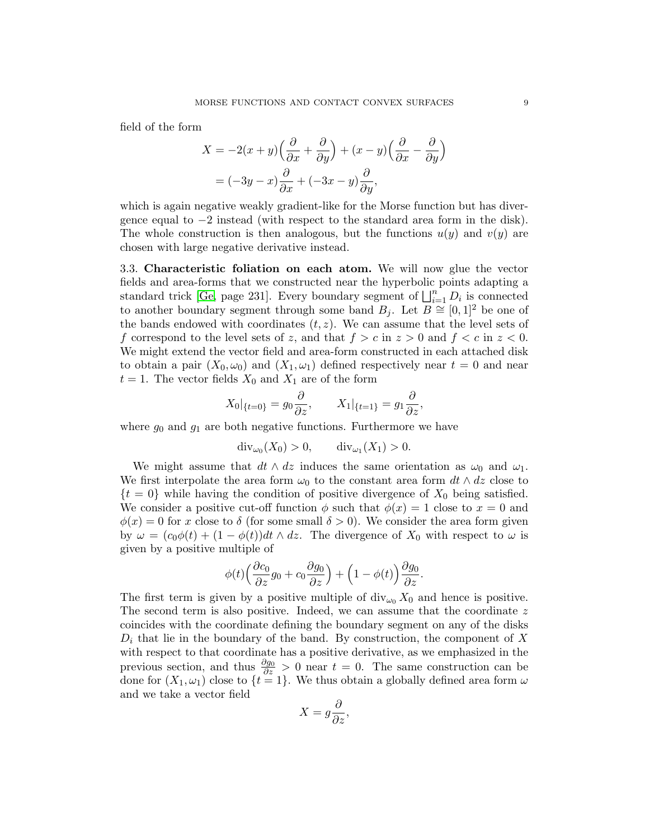field of the form

$$
X = -2(x+y)\left(\frac{\partial}{\partial x} + \frac{\partial}{\partial y}\right) + (x-y)\left(\frac{\partial}{\partial x} - \frac{\partial}{\partial y}\right)
$$

$$
= (-3y - x)\frac{\partial}{\partial x} + (-3x - y)\frac{\partial}{\partial y},
$$

which is again negative weakly gradient-like for the Morse function but has divergence equal to −2 instead (with respect to the standard area form in the disk). The whole construction is then analogous, but the functions  $u(y)$  and  $v(y)$  are chosen with large negative derivative instead.

3.3. Characteristic foliation on each atom. We will now glue the vector fields and area-forms that we constructed near the hyperbolic points adapting a standard trick [\[Ge,](#page-14-4) page 231]. Every boundary segment of  $\bigsqcup_{i=1}^{n} D_i$  is connected to another boundary segment through some band  $B_j$ . Let  $B \cong [0,1]^2$  be one of the bands endowed with coordinates  $(t, z)$ . We can assume that the level sets of f correspond to the level sets of z, and that  $f > c$  in  $z > 0$  and  $f < c$  in  $z < 0$ . We might extend the vector field and area-form constructed in each attached disk to obtain a pair  $(X_0, \omega_0)$  and  $(X_1, \omega_1)$  defined respectively near  $t = 0$  and near  $t = 1$ . The vector fields  $X_0$  and  $X_1$  are of the form

$$
X_0|_{\{t=0\}} = g_0 \frac{\partial}{\partial z}, \qquad X_1|_{\{t=1\}} = g_1 \frac{\partial}{\partial z},
$$

where  $g_0$  and  $g_1$  are both negative functions. Furthermore we have

$$
\operatorname{div}_{\omega_0}(X_0) > 0, \qquad \operatorname{div}_{\omega_1}(X_1) > 0.
$$

We might assume that  $dt \wedge dz$  induces the same orientation as  $\omega_0$  and  $\omega_1$ . We first interpolate the area form  $\omega_0$  to the constant area form  $dt \wedge dz$  close to  $\{t = 0\}$  while having the condition of positive divergence of  $X_0$  being satisfied. We consider a positive cut-off function  $\phi$  such that  $\phi(x) = 1$  close to  $x = 0$  and  $\phi(x) = 0$  for x close to  $\delta$  (for some small  $\delta > 0$ ). We consider the area form given by  $\omega = (c_0\phi(t) + (1 - \phi(t))dt \wedge dz$ . The divergence of  $X_0$  with respect to  $\omega$  is given by a positive multiple of

$$
\phi(t)\Big(\frac{\partial c_0}{\partial z}g_0 + c_0\frac{\partial g_0}{\partial z}\Big) + \Big(1 - \phi(t)\Big)\frac{\partial g_0}{\partial z}.
$$

The first term is given by a positive multiple of  $\text{div}_{\omega_0} X_0$  and hence is positive. The second term is also positive. Indeed, we can assume that the coordinate  $z$ coincides with the coordinate defining the boundary segment on any of the disks  $D_i$  that lie in the boundary of the band. By construction, the component of X with respect to that coordinate has a positive derivative, as we emphasized in the previous section, and thus  $\frac{\partial g_0}{\partial z} > 0$  near  $t = 0$ . The same construction can be done for  $(X_1, \omega_1)$  close to  $\{t = 1\}$ . We thus obtain a globally defined area form  $\omega$ and we take a vector field

$$
X = g\frac{\partial}{\partial z},
$$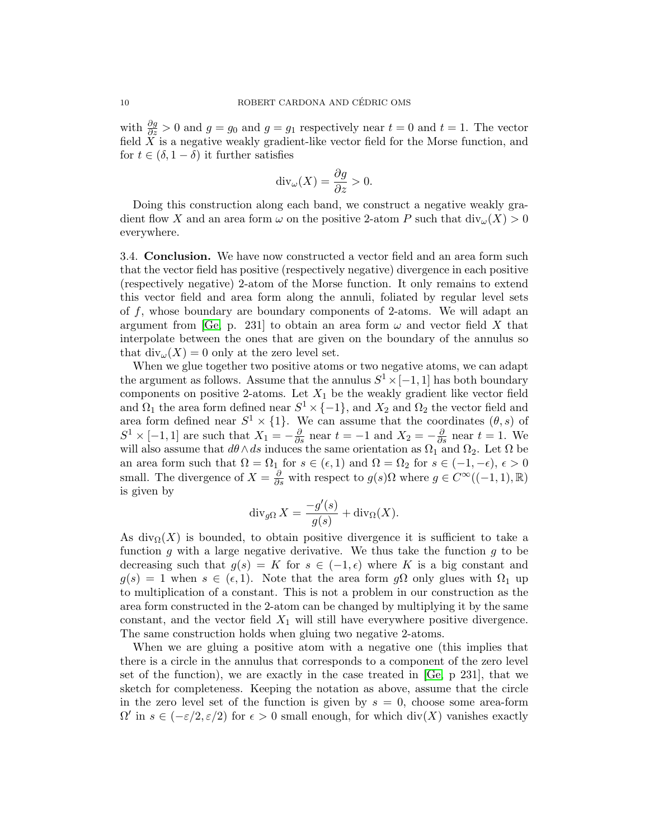with  $\frac{\partial g}{\partial z} > 0$  and  $g = g_0$  and  $g = g_1$  respectively near  $t = 0$  and  $t = 1$ . The vector field  $\tilde{X}$  is a negative weakly gradient-like vector field for the Morse function, and for  $t \in (\delta, 1 - \delta)$  it further satisfies

$$
\operatorname{div}_{\omega}(X) = \frac{\partial g}{\partial z} > 0.
$$

Doing this construction along each band, we construct a negative weakly gradient flow X and an area form  $\omega$  on the positive 2-atom P such that  $\text{div}_{\omega}(X) > 0$ everywhere.

3.4. Conclusion. We have now constructed a vector field and an area form such that the vector field has positive (respectively negative) divergence in each positive (respectively negative) 2-atom of the Morse function. It only remains to extend this vector field and area form along the annuli, foliated by regular level sets of f, whose boundary are boundary components of 2-atoms. We will adapt an argument from [\[Ge,](#page-14-4) p. 231] to obtain an area form  $\omega$  and vector field X that interpolate between the ones that are given on the boundary of the annulus so that  $\text{div}_{\omega}(X) = 0$  only at the zero level set.

When we glue together two positive atoms or two negative atoms, we can adapt the argument as follows. Assume that the annulus  $S^1 \times [-1, 1]$  has both boundary components on positive 2-atoms. Let  $X_1$  be the weakly gradient like vector field and  $\Omega_1$  the area form defined near  $S^1 \times \{-1\}$ , and  $X_2$  and  $\Omega_2$  the vector field and area form defined near  $S^1 \times \{1\}$ . We can assume that the coordinates  $(\theta, s)$  of  $S^1 \times [-1,1]$  are such that  $X_1 = -\frac{\partial}{\partial s}$  near  $t = -1$  and  $X_2 = -\frac{\partial}{\partial s}$  near  $t = 1$ . We will also assume that  $d\theta \wedge ds$  induces the same orientation as  $\Omega_1$  and  $\Omega_2$ . Let  $\Omega$  be an area form such that  $\Omega = \Omega_1$  for  $s \in (\epsilon, 1)$  and  $\Omega = \Omega_2$  for  $s \in (-1, -\epsilon)$ ,  $\epsilon > 0$ small. The divergence of  $X = \frac{\partial}{\partial s}$  with respect to  $g(s) \Omega$  where  $g \in C^{\infty}((-1, 1), \mathbb{R})$ is given by

$$
\operatorname{div}_{g\Omega} X = \frac{-g'(s)}{g(s)} + \operatorname{div}_{\Omega}(X).
$$

As div $\Omega(X)$  is bounded, to obtain positive divergence it is sufficient to take a function g with a large negative derivative. We thus take the function g to be decreasing such that  $g(s) = K$  for  $s \in (-1, \epsilon)$  where K is a big constant and  $g(s) = 1$  when  $s \in (\epsilon, 1)$ . Note that the area form  $g\Omega$  only glues with  $\Omega_1$  up to multiplication of a constant. This is not a problem in our construction as the area form constructed in the 2-atom can be changed by multiplying it by the same constant, and the vector field  $X_1$  will still have everywhere positive divergence. The same construction holds when gluing two negative 2-atoms.

When we are gluing a positive atom with a negative one (this implies that there is a circle in the annulus that corresponds to a component of the zero level set of the function), we are exactly in the case treated in [\[Ge,](#page-14-4) p 231], that we sketch for completeness. Keeping the notation as above, assume that the circle in the zero level set of the function is given by  $s = 0$ , choose some area-form  $\Omega'$  in  $s \in (-\varepsilon/2, \varepsilon/2)$  for  $\epsilon > 0$  small enough, for which div(X) vanishes exactly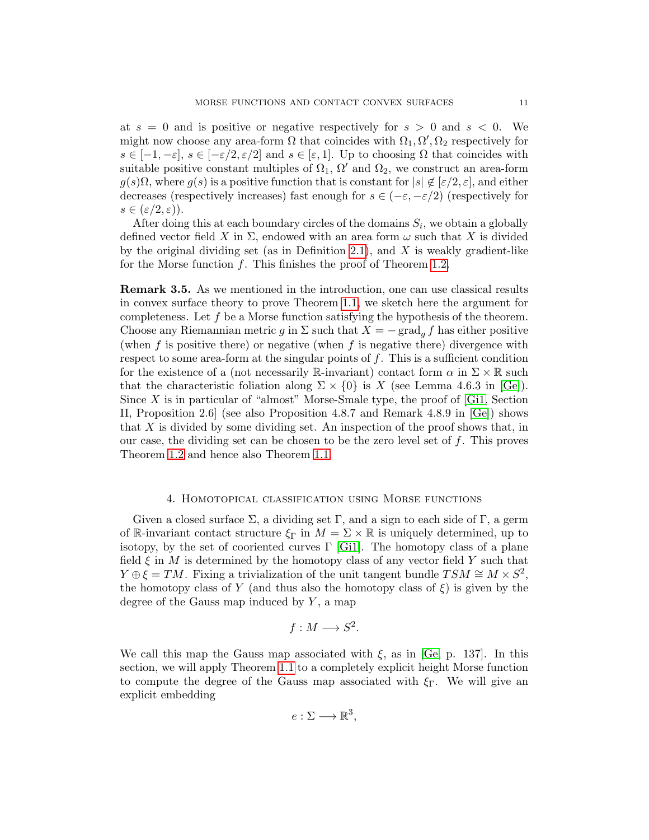at  $s = 0$  and is positive or negative respectively for  $s > 0$  and  $s < 0$ . We might now choose any area-form  $\Omega$  that coincides with  $\Omega_1, \Omega', \Omega_2$  respectively for  $s \in [-1, -\varepsilon], s \in [-\varepsilon/2, \varepsilon/2]$  and  $s \in [\varepsilon, 1].$  Up to choosing  $\Omega$  that coincides with suitable positive constant multiples of  $\Omega_1$ ,  $\Omega'$  and  $\Omega_2$ , we construct an area-form  $g(s)\Omega$ , where  $g(s)$  is a positive function that is constant for  $|s| \notin [\varepsilon/2, \varepsilon]$ , and either decreases (respectively increases) fast enough for  $s \in (-\varepsilon, -\varepsilon/2)$  (respectively for  $s \in (\varepsilon/2, \varepsilon)$ ).

After doing this at each boundary circles of the domains  $S_i$ , we obtain a globally defined vector field X in  $\Sigma$ , endowed with an area form  $\omega$  such that X is divided by the original dividing set (as in Definition [2.1\)](#page-3-0), and  $X$  is weakly gradient-like for the Morse function  $f$ . This finishes the proof of Theorem [1.2.](#page-1-1)

<span id="page-10-0"></span>Remark 3.5. As we mentioned in the introduction, one can use classical results in convex surface theory to prove Theorem [1.1,](#page-1-0) we sketch here the argument for completeness. Let  $f$  be a Morse function satisfying the hypothesis of the theorem. Choose any Riemannian metric g in  $\Sigma$  such that  $X = -\text{grad}_q f$  has either positive (when  $f$  is positive there) or negative (when  $f$  is negative there) divergence with respect to some area-form at the singular points of f. This is a sufficient condition for the existence of a (not necessarily R-invariant) contact form  $\alpha$  in  $\Sigma \times \mathbb{R}$  such that the characteristic foliation along  $\Sigma \times \{0\}$  is X (see Lemma 4.6.3 in [\[Ge\]](#page-14-4)). Since X is in particular of "almost" Morse-Smale type, the proof of  $[G_1]$ , Section II, Proposition 2.6] (see also Proposition 4.8.7 and Remark 4.8.9 in [\[Ge\]](#page-14-4)) shows that  $X$  is divided by some dividing set. An inspection of the proof shows that, in our case, the dividing set can be chosen to be the zero level set of  $f$ . This proves Theorem [1.2](#page-1-1) and hence also Theorem [1.1.](#page-1-0)

# 4. Homotopical classification using Morse functions

Given a closed surface  $\Sigma$ , a dividing set  $\Gamma$ , and a sign to each side of  $\Gamma$ , a germ of R-invariant contact structure  $\xi_{\Gamma}$  in  $M = \Sigma \times \mathbb{R}$  is uniquely determined, up to isotopy, by the set of cooriented curves  $\Gamma$  [\[Gi1\]](#page-14-0). The homotopy class of a plane field  $\xi$  in M is determined by the homotopy class of any vector field Y such that  $Y \oplus \xi = TM$ . Fixing a trivialization of the unit tangent bundle  $TSM \cong M \times S^2$ , the homotopy class of Y (and thus also the homotopy class of  $\xi$ ) is given by the degree of the Gauss map induced by  $Y$ , a map

$$
f: M \longrightarrow S^2.
$$

We call this map the Gauss map associated with  $\xi$ , as in [\[Ge,](#page-14-4) p. 137]. In this section, we will apply Theorem [1.1](#page-1-0) to a completely explicit height Morse function to compute the degree of the Gauss map associated with  $\xi_{\Gamma}$ . We will give an explicit embedding

$$
e:\Sigma\longrightarrow\mathbb{R}^3,
$$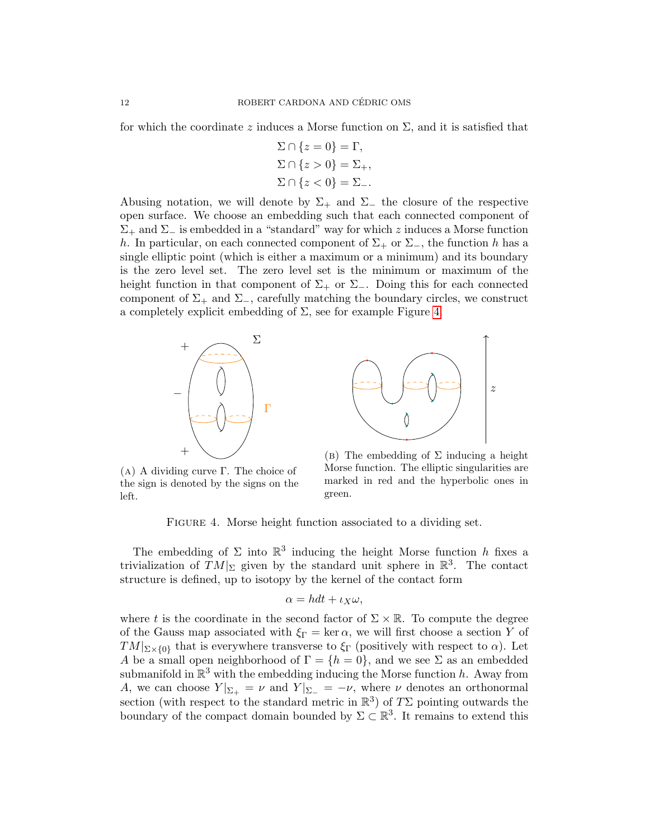for which the coordinate z induces a Morse function on  $\Sigma$ , and it is satisfied that

$$
\Sigma \cap \{z = 0\} = \Gamma,
$$
  
\n
$$
\Sigma \cap \{z > 0\} = \Sigma_+,
$$
  
\n
$$
\Sigma \cap \{z < 0\} = \Sigma_-,
$$

Abusing notation, we will denote by  $\Sigma_+$  and  $\Sigma_-$  the closure of the respective open surface. We choose an embedding such that each connected component of  $\Sigma_+$  and  $\Sigma_-$  is embedded in a "standard" way for which z induces a Morse function h. In particular, on each connected component of  $\Sigma_+$  or  $\Sigma_-$ , the function h has a single elliptic point (which is either a maximum or a minimum) and its boundary is the zero level set. The zero level set is the minimum or maximum of the height function in that component of  $\Sigma_+$  or  $\Sigma_-$ . Doing this for each connected component of  $\Sigma_+$  and  $\Sigma_-$ , carefully matching the boundary circles, we construct a completely explicit embedding of  $\Sigma$ , see for example Figure [4.](#page-11-0)

<span id="page-11-0"></span>



(a) A dividing curve Γ. The choice of the sign is denoted by the signs on the left.

(b) The embedding of  $\Sigma$  inducing a height Morse function. The elliptic singularities are marked in red and the hyperbolic ones in green.

FIGURE 4. Morse height function associated to a dividing set.

The embedding of  $\Sigma$  into  $\mathbb{R}^3$  inducing the height Morse function h fixes a trivialization of  $TM|_{\Sigma}$  given by the standard unit sphere in  $\mathbb{R}^{3}$ . The contact structure is defined, up to isotopy by the kernel of the contact form

$$
\alpha = hdt + \iota_X \omega,
$$

where t is the coordinate in the second factor of  $\Sigma \times \mathbb{R}$ . To compute the degree of the Gauss map associated with  $\xi_{\Gamma} = \ker \alpha$ , we will first choose a section Y of  $TM|_{\Sigma\times\{0\}}$  that is everywhere transverse to  $\xi_{\Gamma}$  (positively with respect to  $\alpha$ ). Let A be a small open neighborhood of  $\Gamma = \{h = 0\}$ , and we see  $\Sigma$  as an embedded submanifold in  $\mathbb{R}^3$  with the embedding inducing the Morse function h. Away from A, we can choose  $Y|_{\Sigma_+} = \nu$  and  $Y|_{\Sigma_-} = -\nu$ , where  $\nu$  denotes an orthonormal section (with respect to the standard metric in  $\mathbb{R}^3$ ) of  $T\Sigma$  pointing outwards the boundary of the compact domain bounded by  $\Sigma \subset \mathbb{R}^3$ . It remains to extend this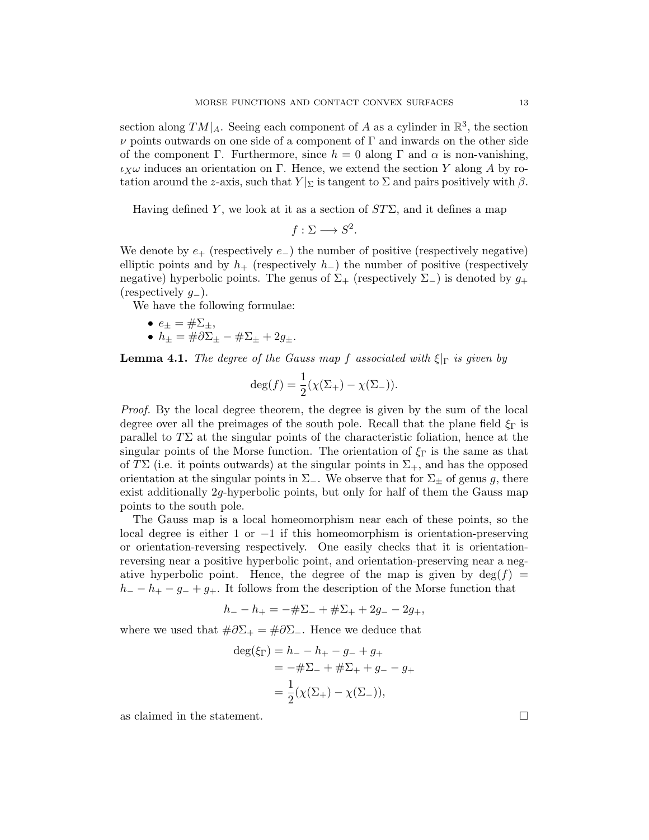section along  $TM|_A$ . Seeing each component of A as a cylinder in  $\mathbb{R}^3$ , the section  $\nu$  points outwards on one side of a component of  $\Gamma$  and inwards on the other side of the component Γ. Furthermore, since  $h = 0$  along Γ and  $\alpha$  is non-vanishing, ι $_X$ ω induces an orientation on Γ. Hence, we extend the section Y along A by rotation around the z-axis, such that  $Y|_{\Sigma}$  is tangent to  $\Sigma$  and pairs positively with  $\beta$ .

Having defined Y, we look at it as a section of  $ST\Sigma$ , and it defines a map

$$
f:\Sigma\longrightarrow S^2.
$$

We denote by  $e_{+}$  (respectively  $e_{-}$ ) the number of positive (respectively negative) elliptic points and by  $h_+$  (respectively  $h_-$ ) the number of positive (respectively negative) hyperbolic points. The genus of  $\Sigma_{+}$  (respectively  $\Sigma_{-}$ ) is denoted by  $g_{+}$ (respectively  $g_$ ).

We have the following formulae:

$$
\bullet \ \ e_{\pm} = \#\Sigma_{\pm},
$$

•  $h_{\pm} = \#\partial \Sigma_{\pm} - \#\Sigma_{\pm} + 2g_{\pm}.$ 

**Lemma 4.1.** The degree of the Gauss map f associated with  $\xi|_{\Gamma}$  is given by

$$
\deg(f) = \frac{1}{2}(\chi(\Sigma_+) - \chi(\Sigma_-)).
$$

Proof. By the local degree theorem, the degree is given by the sum of the local degree over all the preimages of the south pole. Recall that the plane field  $\xi_{\Gamma}$  is parallel to  $T\Sigma$  at the singular points of the characteristic foliation, hence at the singular points of the Morse function. The orientation of  $\xi_{\Gamma}$  is the same as that of TΣ (i.e. it points outwards) at the singular points in  $\Sigma_{+}$ , and has the opposed orientation at the singular points in  $\Sigma_{-}$ . We observe that for  $\Sigma_{+}$  of genus g, there exist additionally 2g-hyperbolic points, but only for half of them the Gauss map points to the south pole.

The Gauss map is a local homeomorphism near each of these points, so the local degree is either 1 or  $-1$  if this homeomorphism is orientation-preserving or orientation-reversing respectively. One easily checks that it is orientationreversing near a positive hyperbolic point, and orientation-preserving near a negative hyperbolic point. Hence, the degree of the map is given by  $\deg(f)$  =  $h = -h + -g = +g +$ . It follows from the description of the Morse function that

$$
h_{-} - h_{+} = -\# \Sigma_{-} + \# \Sigma_{+} + 2g_{-} - 2g_{+},
$$

where we used that  $\#\partial\Sigma_+ = \#\partial\Sigma_-$ . Hence we deduce that

$$
deg(\xi_{\Gamma}) = h_{-} - h_{+} - g_{-} + g_{+}
$$
  
= -# $\Sigma$  - + # $\Sigma$  + + g\_{-} - g\_{+}  
=  $\frac{1}{2}(\chi(\Sigma_{+}) - \chi(\Sigma_{-}))$ ,

as claimed in the statement.  $\Box$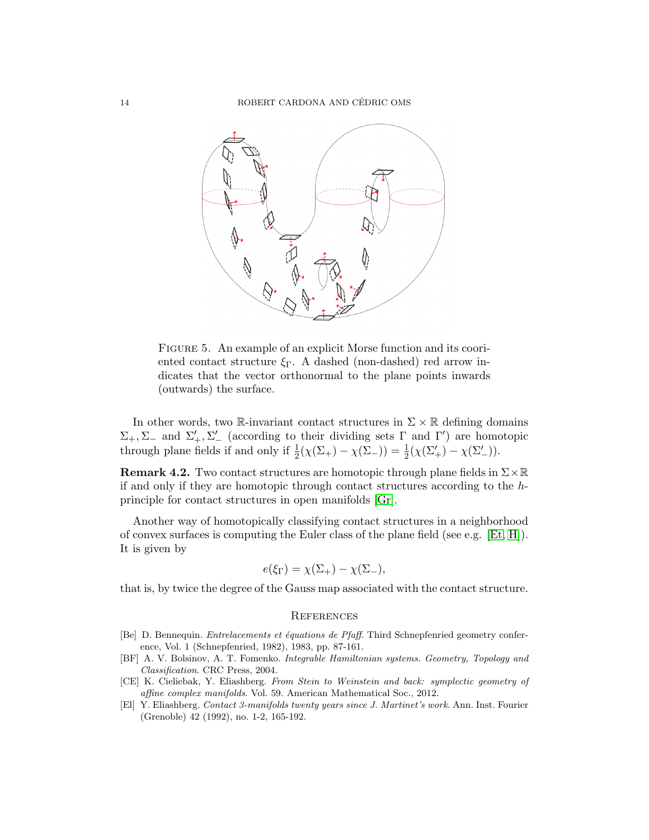

FIGURE 5. An example of an explicit Morse function and its cooriented contact structure  $\xi_{\Gamma}$ . A dashed (non-dashed) red arrow indicates that the vector orthonormal to the plane points inwards (outwards) the surface.

In other words, two R-invariant contact structures in  $\Sigma \times \mathbb{R}$  defining domains  $\Sigma_+$ ,  $\Sigma_-$  and  $\Sigma'_+$ ,  $\Sigma'_-$  (according to their dividing sets  $\Gamma$  and  $\Gamma'$ ) are homotopic through plane fields if and only if  $\frac{1}{2}(\chi(\Sigma_+) - \chi(\Sigma_-)) = \frac{1}{2}(\chi(\Sigma_+') - \chi(\Sigma_-')).$ 

**Remark 4.2.** Two contact structures are homotopic through plane fields in  $\Sigma \times \mathbb{R}$ if and only if they are homotopic through contact structures according to the hprinciple for contact structures in open manifolds [\[Gr\]](#page-14-8).

Another way of homotopically classifying contact structures in a neighborhood of convex surfaces is computing the Euler class of the plane field (see e.g.  $[Et, H]$  $[Et, H]$ ). It is given by

$$
e(\xi_{\Gamma}) = \chi(\Sigma_+) - \chi(\Sigma_-),
$$

that is, by twice the degree of the Gauss map associated with the contact structure.

#### **REFERENCES**

- <span id="page-13-0"></span>[Be] D. Bennequin. Entrelacements et équations de Pfaff. Third Schnepfenried geometry conference, Vol. 1 (Schnepfenried, 1982), 1983, pp. 87-161.
- <span id="page-13-3"></span>[BF] A. V. Bolsinov, A. T. Fomenko. Integrable Hamiltonian systems. Geometry, Topology and Classification. CRC Press, 2004.
- <span id="page-13-2"></span>[CE] K. Cieliebak, Y. Eliashberg. From Stein to Weinstein and back: symplectic geometry of affine complex manifolds. Vol. 59. American Mathematical Soc., 2012.
- <span id="page-13-1"></span>[El] Y. Eliashberg. Contact 3-manifolds twenty years since J. Martinet's work. Ann. Inst. Fourier (Grenoble) 42 (1992), no. 1-2, 165-192.